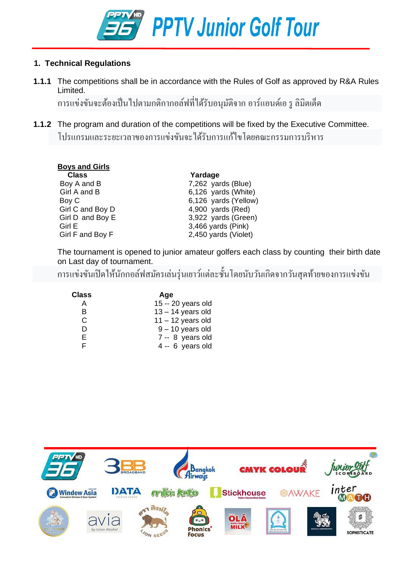

#### **1. Technical Regulations**

**1.1.1** The competitions shall be in accordance with the Rules of Golf as approved by R&A Rules Limited.

การแข่งขันจะต้องเป็ นไปตามกติกากอล์ฟที่ได้รับอนุมัติจากอาร์แอนด์เอ รู ลิมิตเต็ด

**1.1.2** The program and duration of the competitions will be fixed by the Executive Committee. โปรแกรมและระยะเวลาของการแข่งขันจะได้รับการแก้ไขโดยคณะกรรมการบริหาร

| <b>Boys and Girls</b> |                      |
|-----------------------|----------------------|
| <b>Class</b>          | Yardage              |
| Boy A and B           | $7,262$ yards (Blue) |
| Girl A and B          | 6,126 yards (White)  |
| Boy C                 | 6,126 yards (Yellow) |
| Girl C and Boy D      | 4,900 yards (Red)    |
| Girl D and Boy E      | 3,922 yards (Green)  |
| Girl E                | 3,466 yards (Pink)   |
| Girl F and Boy F      | 2,450 yards (Violet) |
|                       |                      |

The tournament is opened to junior amateur golfers each class by counting their birth date on Last day of tournament.

การแข่งขันเปิดให้นักกอล์ฟสมัครเล่นรุ่นเยาว์แต่ละชั้นโดยนับวันเกิดจากวันสุดท้ายของการแข่งขัน

| <b>Class</b> | Age                 |
|--------------|---------------------|
| А            | 15 -- 20 years old  |
| в            | $13 - 14$ years old |
| C            | $11 - 12$ years old |
| D            | $9 - 10$ years old  |
| F.           | 7 -- 8 years old    |
|              | $4 - 6$ years old   |

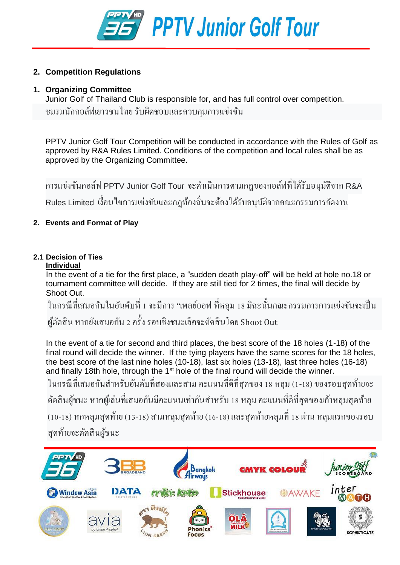

#### **2. Competition Regulations**

#### **1. Organizing Committee**

Junior Golf of Thailand Club is responsible for, and has full control over competition. ชมรมนักกอล์ฟเยาวชนไทย รับผิดชอบและควบคุมการแข่งขัน

PPTV Junior Golf Tour Competition will be conducted in accordance with the Rules of Golf as approved by R&A Rules Limited. Conditions of the competition and local rules shall be as approved by the Organizing Committee.

การแข่งขันกอล์ฟ PPTV Junior Golf Tour จะด าเนินการตามกฎของกอล์ฟที่ได้รับอนุมัติจาก R&A Rules Limited เงื่อนใขการแข่งขันและกฎท้องถิ่นจะต้องใด้รับอนุมัติจากคณะกรรมการจัดงาน

#### **2. Events and Format of Play**

#### **2.1 Decision of Ties**

#### **Individual**

In the event of a tie for the first place, a "sudden death play-off" will be held at hole no.18 or tournament committee will decide. If they are still tied for 2 times, the final will decide by Shoot Out.

ในกรณีที่เสมอกันในอันดับที่ 1 จะมีการ "เพลย์ออฟ ที่หลุม 18 มิฉะนั้นคณะกรรมการการแข่งขันจะเป็น ผูต ้ ดัสิน หากยงัเสมอกนั 2คร้ังรอบชิงชนะเลิศจะตัดสินโดย Shoot Out

In the event of a tie for second and third places, the best score of the 18 holes (1-18) of the final round will decide the winner. If the tying players have the same scores for the 18 holes, the best score of the last nine holes (10-18), last six holes (13-18), last three holes (16-18) and finally 18th hole, through the 1st hole of the final round will decide the winner.

่ ในกรณีที่เสมอกันสำหรับอันดับที่สองและสาม คะแนนที่ดีที่สุดของ 18 หลุม (1-18) ของรอบสุดท้ายจะ

้ตัดสินผู้ชนะ หากผู้เล่นที่เสมอกันมีคะแนนเท่ากันสำหรับ 18 หลุม คะแนนที่ดีที่สุดของเก้าหลุมสุดท้าย

(10-18) หกหลุมสุดท้าย (13-18) สามหลุมสุดท้าย (16-18) และสุดท้ายหลุมที่ 18 ผ่าน หลุมแรกของรอบ สุดท้ายจะตัดสินผู้ชนะ

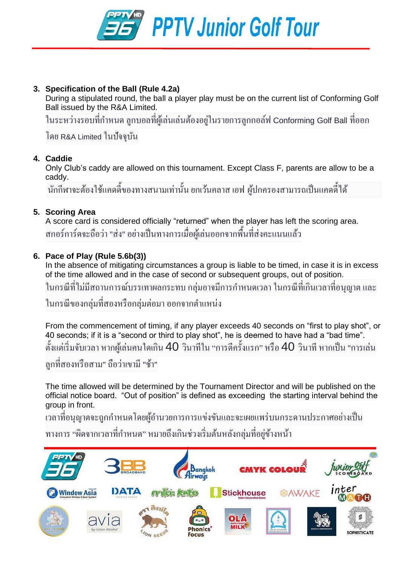

#### **3. Specification of the Ball (Rule 4.2a)**

During a stipulated round, the ball a player play must be on the current list of Conforming Golf Ball issued by the R&A Limited.

่ ในระหว่างรอบที่กำหนด ลูกบอลที่ผู้เล่นเล่นต้องอยู่ในรายการลูกกอล์ฟ Conforming Golf Ball ที่ออก

โดย R&A Limited ในปัจจุบัน

#### **4. Caddie**

Only Club's caddy are allowed on this tournament. Except Class F, parents are allow to be a caddy.

นักกีฬาจะต้องใช้แคดดิ้งองทางสนามเท่านั้น ยกเว้นคลาส เอฟ ผู้ปกครองสามารถเป็นแคดลี้ได้

#### **5. Scoring Area**

A score card is considered officially "returned" when the player has left the scoring area. สกอร์การ์คจะถือว่า "ส่ง" อย่างเป็นทางการเมื่อผู้เล่นออกจากพื้นที่ส่งคะแนนแล้ว

#### **6. Pace of Play (Rule 5.6b(3))**

In the absence of mitigating circumstances a group is liable to be timed, in case it is in excess of the time allowed and in the case of second or subsequent groups, out of position.

่ ในกรณีที่ไม่มีสถานการณ์บรรเทาผลกระทบ กลุ่มอาจมีการกำหนดเวลา ในกรณีที่เกินเวลาที่อนุญาต และ

่ ในกรณีของกลุ่มที่สองหรือกลุ่มต่อมา ออกจากตำแหน่ง

From the commencement of timing, if any player exceeds 40 seconds on "first to play shot", or 40 seconds; if it is a "second or third to play shot", he is deemed to have had a "bad time". ตั้งแต่เริ่มจับเวลา หากผู้เล่นคนใดเกิน 40 วินาทีใน "การตีกรั้งแรก" หรือ 40 วินาที หากเป็น "การเล่น ลูกที่สองหรือสาม" ถือว่าเขามี "ช้า"

The time allowed will be determined by the Tournament Director and will be published on the official notice board. "Out of position" is defined as exceeding the starting interval behind the group in front.

้เวลาที่อนุญาตจะถูกกำหนดโดยผู้อำนวยการการแข่งขันและจะเผยแพร่บนกระดานประกาศอย่างเป็น

ทางการ "ผิดจากเวลาที่กำหนด" หมายถึงเกินช่วงเริ่มต้นหลังกลุ่มที่อยู่ข้างหน้า ้

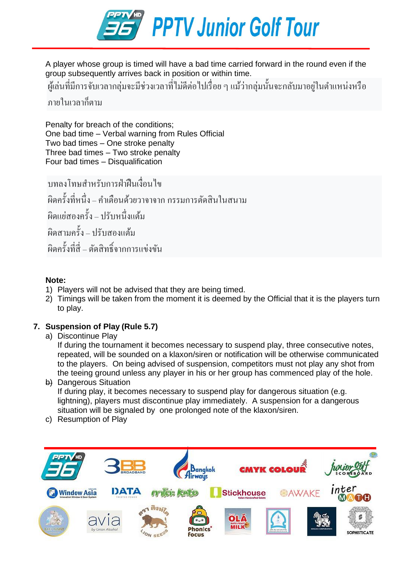

A player whose group is timed will have a bad time carried forward in the round even if the group subsequently arrives back in position or within time.

ผู้เล่นที่มีการจับเวลากลุ่มจะมีช่วงเวลาที่ไม่ดีต่อไปเรื่อย ๆ แม้ว่ากลุ่มนั้นจะกลับมาอยู่ในตำแหน่งหรือ

#### ภายในเวลาก็ตาม

Penalty for breach of the conditions; One bad time – Verbal warning from Rules Official Two bad times – One stroke penalty Three bad times – Two stroke penalty Four bad times – Disqualification

ำเทลงโทษสำหรับการฝ่าฝืบเงื่อบไข ผิดคร้ังที่หนึ่ง–ค าเตือนด้วยวาจาจาก กรรมการตัดสินในสนาม ้ผิดแย่สองครั้ง – ปรับหนึ่งแต้ม ผิดสามคร้ัง– ปรับสองแต้ม ผิดคร้ังทสี่ ี่ – ตัดสิทธิ์จากการแข่งขัน

#### **Note:**

- 1) Players will not be advised that they are being timed.
- 2) Timings will be taken from the moment it is deemed by the Official that it is the players turn to play.

#### **7. Suspension of Play (Rule 5.7)**

a) Discontinue Play

If during the tournament it becomes necessary to suspend play, three consecutive notes, repeated, will be sounded on a klaxon/siren or notification will be otherwise communicated to the players. On being advised of suspension, competitors must not play any shot from the teeing ground unless any player in his or her group has commenced play of the hole.

- b) Dangerous Situation If during play, it becomes necessary to suspend play for dangerous situation (e.g. lightning), players must discontinue play immediately. A suspension for a dangerous situation will be signaled by one prolonged note of the klaxon/siren.
- c) Resumption of Play

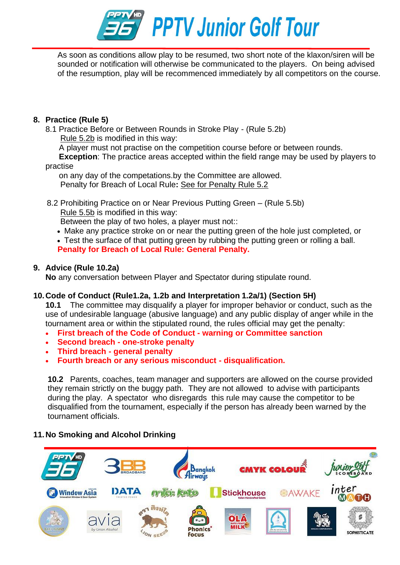

As soon as conditions allow play to be resumed, two short note of the klaxon/siren will be sounded or notification will otherwise be communicated to the players. On being advised of the resumption, play will be recommenced immediately by all competitors on the course.

#### **8. Practice (Rule 5)**

8.1 Practice Before or Between Rounds in Stroke Play - (Rule 5.2b) [Rule 5.2b](https://www.randa.org/en/rog/2019/rules/the-rules-of-golf/rule-5#5-2b) is modified in this way:

A player must not practise on the competition course before or between rounds.

**Exception**: The practice areas accepted within the field range may be used by players to

#### practise

on any day of the competations.by the Committee are allowed. Penalty for Breach of Local Rule**:** See for Penalty Rule 5.2

 8.2 Prohibiting Practice on or Near Previous Putting Green – (Rule 5.5b) [Rule 5.5b](https://www.randa.org/en/rog/2019/rules/the-rules-of-golf/rule-5#5-5b) is modified in this way:

Between the play of two holes, a player must not::

- Make any practice stroke on or near the putting green of the hole just completed, or
- Test the surface of that putting green by rubbing the putting green or rolling a ball. **Penalty for Breach of Local Rule: General Penalty.**

#### **9. Advice (Rule 10.2a)**

**No** any conversation between Player and Spectator during stipulate round.

#### **10.Code of Conduct (Rule1.2a, 1.2b and Interpretation 1.2a/1) (Section 5H)**

**10.1** The committee may disqualify a player for improper behavior or conduct, such as the use of undesirable language (abusive language) and any public display of anger while in the tournament area or within the stipulated round, the rules official may get the penalty:

- **First breach of the Code of Conduct - warning or Committee sanction**
- **Second breach - one-stroke penalty**
- **Third breach - general penalty**
- **Fourth breach or any serious misconduct - disqualification.**

**10.2** Parents, coaches, team manager and supporters are allowed on the course provided they remain strictly on the buggy path. They are not allowed to advise with participants during the play. A spectator who disregards this rule may cause the competitor to be disqualified from the tournament, especially if the person has already been warned by the tournament officials.

#### **11.No Smoking and Alcohol Drinking**

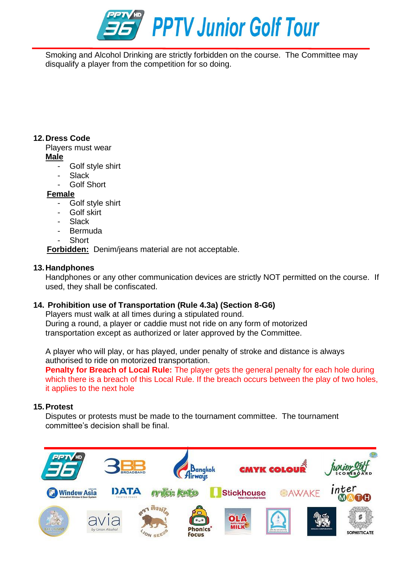

Smoking and Alcohol Drinking are strictly forbidden on the course. The Committee may disqualify a player from the competition for so doing.

#### **12.Dress Code**

Players must wear

**Male**

- Golf style shirt
- Slack
- Golf Short

#### **Female**

- Golf style shirt
- Golf skirt
- **Slack**
- **Bermuda**
- **Short**

**Forbidden:** Denim/jeans material are not acceptable.

#### **13.Handphones**

Handphones or any other communication devices are strictly NOT permitted on the course. If used, they shall be confiscated.

#### **14. Prohibition use of Transportation (Rule 4.3a) (Section 8-G6)**

Players must walk at all times during a stipulated round. During a round, a player or caddie must not ride on any form of motorized transportation except as authorized or later approved by the Committee.

A player who will play, or has played, under penalty of stroke and distance is always authorised to ride on motorized transportation.

**Penalty for Breach of Local Rule:** The player gets the general penalty for each hole during which there is a breach of this Local Rule. If the breach occurs between the play of two holes, it applies to the next hole

#### **15.Protest**

Disputes or protests must be made to the tournament committee. The tournament committee's decision shall be final.

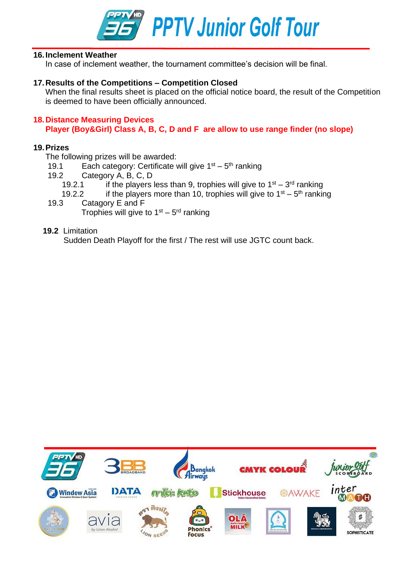

#### **16.Inclement Weather**

In case of inclement weather, the tournament committee's decision will be final.

#### **17.Results of the Competitions – Competition Closed**

When the final results sheet is placed on the official notice board, the result of the Competition is deemed to have been officially announced.

#### **18.Distance Measuring Devices Player (Boy&Girl) Class A, B, C, D and F are allow to use range finder (no slope)**

#### **19.Prizes**

The following prizes will be awarded:

- 19.1 Each category: Certificate will give  $1<sup>st</sup> 5<sup>th</sup>$  ranking
- 19.2 Category A, B, C, D
	- 19.2.1 if the players less than 9, trophies will give to  $1<sup>st</sup> 3<sup>rd</sup>$  ranking
	- 19.2.2 if the players more than 10, trophies will give to  $1<sup>st</sup> 5<sup>th</sup>$  ranking
- 19.3 Catagory E and F Trophies will give to 1<sup>st</sup> – 5<sup>rd</sup> ranking

#### **19.2** Limitation

Sudden Death Playoff for the first / The rest will use JGTC count back.

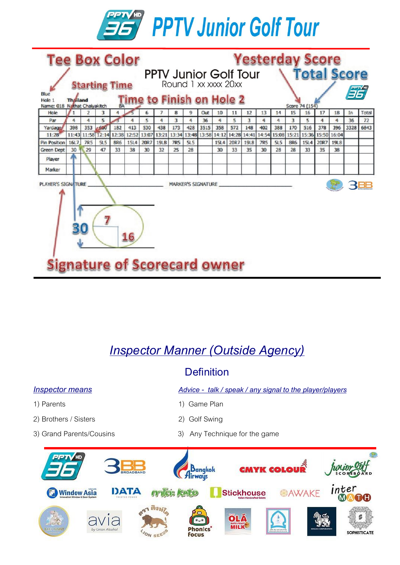

| <b>Tee Box Color</b>                                               |                                     |             |        |            |             |       |             |                                                    |                      | <b>Yesterday Score</b> |                   |               |             |            |     |                                                       |      |             |       |      |            |  |  |
|--------------------------------------------------------------------|-------------------------------------|-------------|--------|------------|-------------|-------|-------------|----------------------------------------------------|----------------------|------------------------|-------------------|---------------|-------------|------------|-----|-------------------------------------------------------|------|-------------|-------|------|------------|--|--|
|                                                                    |                                     |             |        |            |             |       |             | <b>Total Score</b><br><b>PPTV Junior Golf Tour</b> |                      |                        |                   |               |             |            |     |                                                       |      |             |       |      |            |  |  |
| <b>Starting Time</b>                                               |                                     |             |        |            |             |       |             |                                                    | Round 1 xx xxxx 20xx |                        |                   |               |             |            |     |                                                       |      |             |       |      |            |  |  |
| Blue                                                               |                                     |             |        |            |             |       |             |                                                    |                      |                        |                   | <b>EPTY'S</b> |             |            |     |                                                       |      |             |       |      |            |  |  |
| Time to Finish on Hole 2<br><b>Thailand</b><br>Hole 1              |                                     |             |        |            |             |       |             |                                                    |                      |                        |                   |               |             |            |     |                                                       |      |             |       |      |            |  |  |
| Name: 018 Nathat Chaivakitch<br>9<br>2<br>6<br>Hole<br>1<br>3<br>8 |                                     |             |        |            |             |       |             |                                                    |                      | Out                    | 10                | 11            | 12          | 13         | 14  | Score 74 (154)<br>17<br>18<br>16<br>In<br>Total<br>15 |      |             |       |      |            |  |  |
| Par                                                                | 4                                   | 4           | 5      |            | 4           | 5     | 4           | 3                                                  | 4                    | 36                     | 4                 | 5             | 3           | 4          | 4   | 3                                                     | 5    | 4           | 4     | 36   | 72         |  |  |
| Yardag                                                             | 398                                 | 353         | $-650$ | 182        | 413         | 530   | 438         | 173                                                | 428                  | 3515                   | 358               | 572           | 148         | 402        | 388 | 170                                                   | 516  | 378         | 396   | 3328 | 6843       |  |  |
| 11:28                                                              | 11:43                               | 11:58 12:14 |        | 12:38      | 12:52       | 13:07 | 13:21       | 13:34                                              |                      |                        | 13:48 13:58 14:12 | 14:28         | 14:41       | 14:54      |     | 15:08 15:21                                           |      | 15:36 15:50 | 16:04 |      |            |  |  |
| <b>Pin Position</b>                                                | 16L7                                | <b>7R5</b>  | 515    | <b>BR6</b> | <b>15L4</b> | 20R7  | <b>19LB</b> | <b>7R5</b>                                         | 5L5                  |                        | 15L4              | 20R7          | <b>19L8</b> | <b>7R5</b> | 515 | <b>8R6</b>                                            | 15L4 | 20R7        | 1918  |      |            |  |  |
| <b>Green Dept</b>                                                  | 30                                  | 29          | 47     | 33         | 38          | 30    | 32          | 25                                                 | 28                   |                        | 30                | 33            | 35          | 30         | 28  | 28                                                    | 33   | 35          | 38    |      |            |  |  |
| Player                                                             |                                     |             |        |            |             |       |             |                                                    |                      |                        |                   |               |             |            |     |                                                       |      |             |       |      |            |  |  |
| Marker                                                             |                                     |             |        |            |             |       |             |                                                    |                      |                        |                   |               |             |            |     |                                                       |      |             |       |      |            |  |  |
| <b>PLAYER'S SIGNATURE</b>                                          |                                     |             |        |            |             |       |             | MARKER'S SIGNATURE                                 |                      |                        |                   |               |             |            |     |                                                       |      |             |       |      | <b>BBB</b> |  |  |
|                                                                    |                                     |             |        |            |             |       |             |                                                    |                      |                        |                   |               |             |            |     |                                                       |      |             |       |      |            |  |  |
|                                                                    |                                     |             |        |            |             |       |             |                                                    |                      |                        |                   |               |             |            |     |                                                       |      |             |       |      |            |  |  |
|                                                                    |                                     |             |        |            |             |       |             |                                                    |                      |                        |                   |               |             |            |     |                                                       |      |             |       |      |            |  |  |
|                                                                    |                                     |             |        |            | 16          |       |             |                                                    |                      |                        |                   |               |             |            |     |                                                       |      |             |       |      |            |  |  |
|                                                                    |                                     |             |        |            |             |       |             |                                                    |                      |                        |                   |               |             |            |     |                                                       |      |             |       |      |            |  |  |
|                                                                    |                                     |             |        |            |             |       |             |                                                    |                      |                        |                   |               |             |            |     |                                                       |      |             |       |      |            |  |  |
|                                                                    | <b>Signature of Scorecard owner</b> |             |        |            |             |       |             |                                                    |                      |                        |                   |               |             |            |     |                                                       |      |             |       |      |            |  |  |

### *Inspector Manner (Outside Agency)*

### **Definition**

- 
- 2) Brothers / Sisters 2) Golf Swing
- 
- *Inspector means**Advice talk / speak / any signal to the player/players*
- 1) Parents1) Game Plan
	-
- 3) Grand Parents/Cousins 3) Any Technique for the game

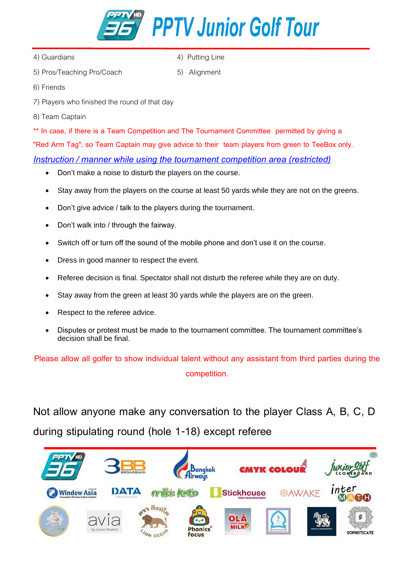

- 
- 4) Guardians (4)  $\frac{4}{100}$  Putting Line
- 5) Pros/Teaching Pro/Coach 5) Alignment

- 6) Friends
- 7) Players who finished the round of that day
- 8) Team Captain

**\*\* In case, if there is a Team Competition and The Tournament Committee permitted by giving a "Red Arm Tag", so Team Captain may give advice to their team players from green to TeeBox only.** *Instruction / manner while using the tournament competition area (restricted)*

- Don't make a noise to disturb the players on the course.
- Stay away from the players on the course at least 50 yards while they are not on the greens.
- Don't give advice / talk to the players during the tournament.
- Don't walk into / through the fairway.
- Switch off or turn off the sound of the mobile phone and don't use it on the course.
- Dress in good manner to respect the event.
- Referee decision is final. Spectator shall not disturb the referee while they are on duty.
- Stay away from the green at least 30 yards while the players are on the green.
- Respect to the referee advice.
- Disputes or protest must be made to the tournament committee. The tournament committee's decision shall be final.

**Please allow all golfer to show individual talent without any assistant from third parties during the competition.**

**Not allow anyone make any conversation to the player Class A, B, C, D during stipulating round (hole 1-18) except referee**

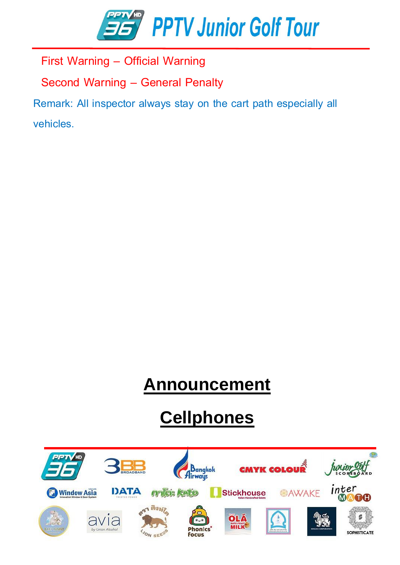

 **First Warning – Official Warning**

 **Second Warning – General Penalty**

**Remark: All inspector always stay on the cart path especially all vehicles.**

### **Announcement**

# **Cellphones**